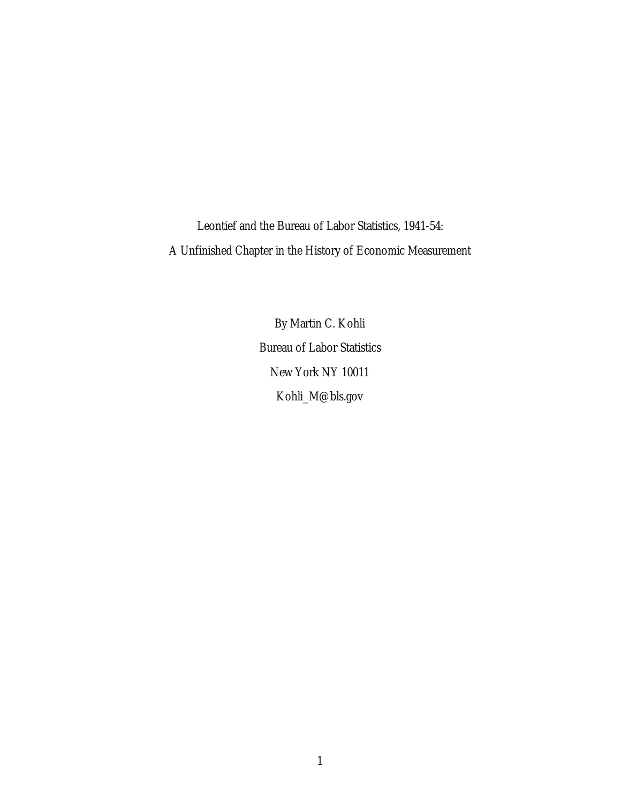Leontief and the Bureau of Labor Statistics, 1941-54: A Unfinished Chapter in the History of Economic Measurement

> By Martin C. Kohli Bureau of Labor Statistics New York NY 10011 Kohli\_M@bls.gov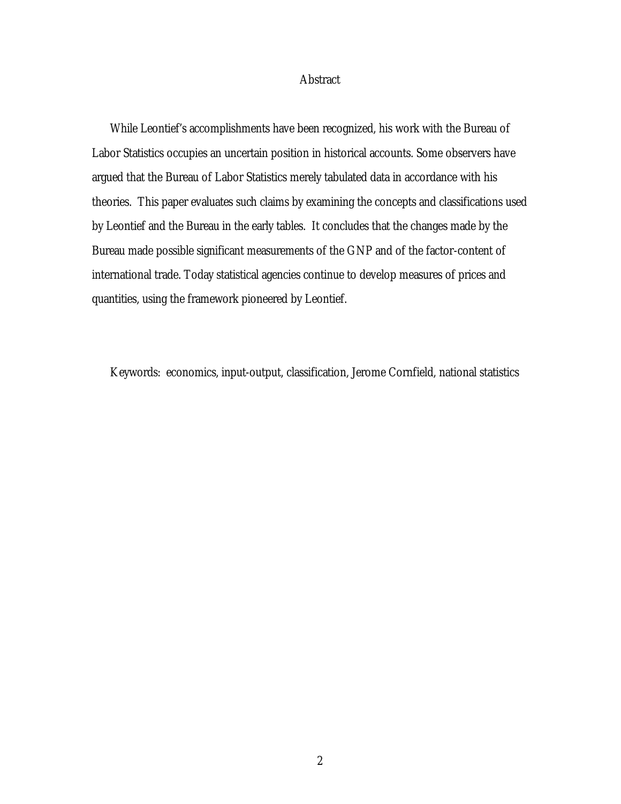### **Abstract**

While Leontief's accomplishments have been recognized, his work with the Bureau of Labor Statistics occupies an uncertain position in historical accounts. Some observers have argued that the Bureau of Labor Statistics merely tabulated data in accordance with his theories. This paper evaluates such claims by examining the concepts and classifications used by Leontief and the Bureau in the early tables. It concludes that the changes made by the Bureau made possible significant measurements of the GNP and of the factor-content of international trade. Today statistical agencies continue to develop measures of prices and quantities, using the framework pioneered by Leontief.

Keywords: economics, input-output, classification, Jerome Cornfield, national statistics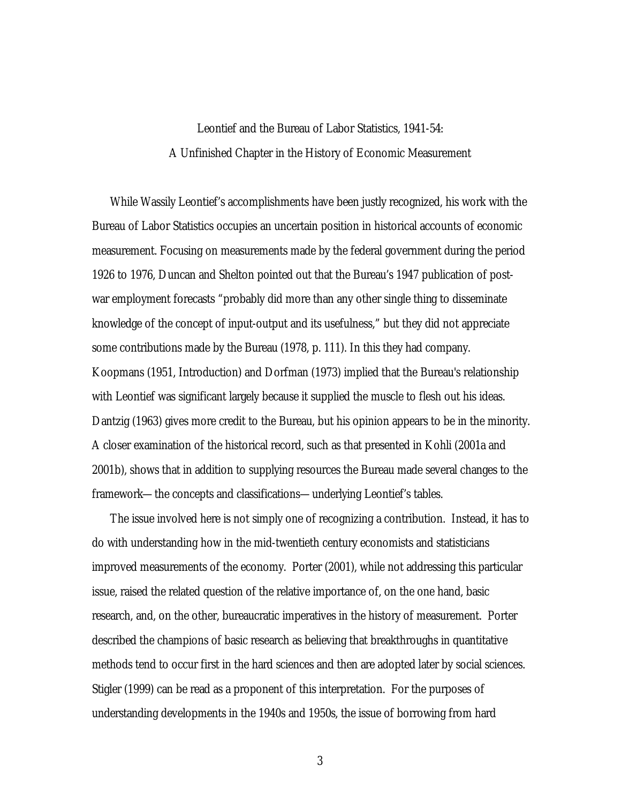# Leontief and the Bureau of Labor Statistics, 1941-54: A Unfinished Chapter in the History of Economic Measurement

While Wassily Leontief's accomplishments have been justly recognized, his work with the Bureau of Labor Statistics occupies an uncertain position in historical accounts of economic measurement. Focusing on measurements made by the federal government during the period 1926 to 1976, Duncan and Shelton pointed out that the Bureau's 1947 publication of postwar employment forecasts "probably did more than any other single thing to disseminate knowledge of the concept of input-output and its usefulness," but they did not appreciate some contributions made by the Bureau (1978, p. 111). In this they had company. Koopmans (1951, Introduction) and Dorfman (1973) implied that the Bureau's relationship with Leontief was significant largely because it supplied the muscle to flesh out his ideas. Dantzig (1963) gives more credit to the Bureau, but his opinion appears to be in the minority. A closer examination of the historical record, such as that presented in Kohli (2001a and 2001b), shows that in addition to supplying resources the Bureau made several changes to the framework—the concepts and classifications—underlying Leontief's tables.

The issue involved here is not simply one of recognizing a contribution. Instead, it has to do with understanding how in the mid-twentieth century economists and statisticians improved measurements of the economy. Porter (2001), while not addressing this particular issue, raised the related question of the relative importance of, on the one hand, basic research, and, on the other, bureaucratic imperatives in the history of measurement. Porter described the champions of basic research as believing that breakthroughs in quantitative methods tend to occur first in the hard sciences and then are adopted later by social sciences. Stigler (1999) can be read as a proponent of this interpretation. For the purposes of understanding developments in the 1940s and 1950s, the issue of borrowing from hard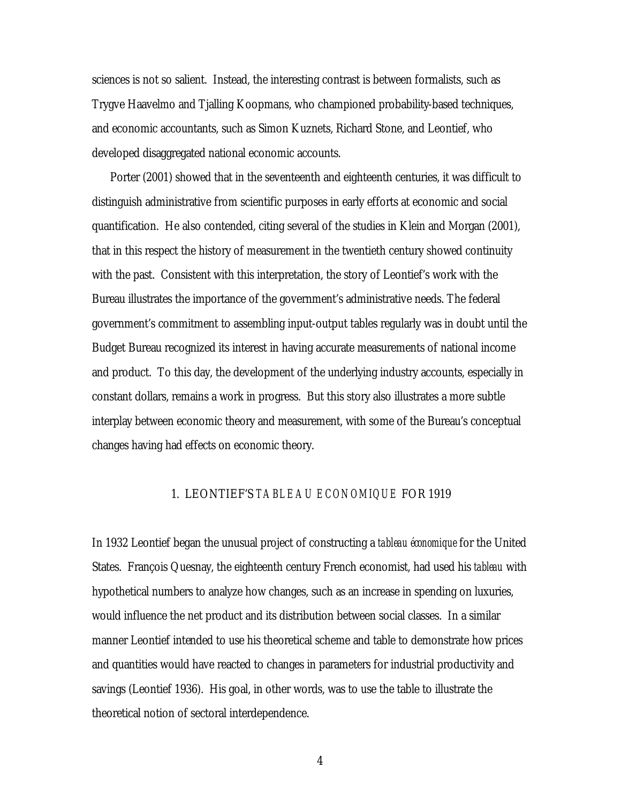sciences is not so salient. Instead, the interesting contrast is between formalists, such as Trygve Haavelmo and Tjalling Koopmans, who championed probability-based techniques, and economic accountants, such as Simon Kuznets, Richard Stone, and Leontief, who developed disaggregated national economic accounts.

Porter (2001) showed that in the seventeenth and eighteenth centuries, it was difficult to distinguish administrative from scientific purposes in early efforts at economic and social quantification. He also contended, citing several of the studies in Klein and Morgan (2001), that in this respect the history of measurement in the twentieth century showed continuity with the past. Consistent with this interpretation, the story of Leontief's work with the Bureau illustrates the importance of the government's administrative needs. The federal government's commitment to assembling input-output tables regularly was in doubt until the Budget Bureau recognized its interest in having accurate measurements of national income and product. To this day, the development of the underlying industry accounts, especially in constant dollars, remains a work in progress. But this story also illustrates a more subtle interplay between economic theory and measurement, with some of the Bureau's conceptual changes having had effects on economic theory.

## 1. LEONTIEF'S *TABLEAU ECONOMIQUE* FOR 1919

In 1932 Leontief began the unusual project of constructing a *tableau économique* for the United States. François Quesnay, the eighteenth century French economist, had used his *tableau* with hypothetical numbers to analyze how changes, such as an increase in spending on luxuries, would influence the net product and its distribution between social classes. In a similar manner Leontief intended to use his theoretical scheme and table to demonstrate how prices and quantities would have reacted to changes in parameters for industrial productivity and savings (Leontief 1936). His goal, in other words, was to use the table to illustrate the theoretical notion of sectoral interdependence.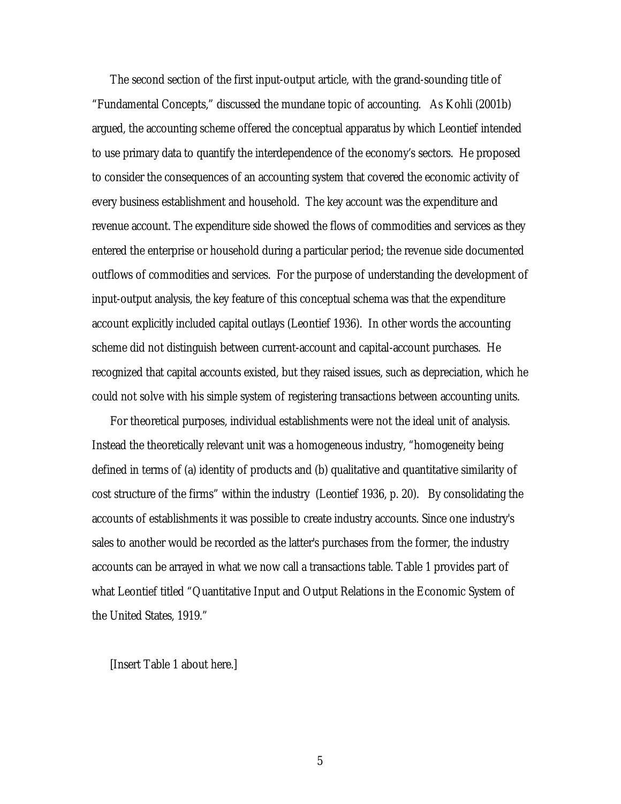The second section of the first input-output article, with the grand-sounding title of "Fundamental Concepts," discussed the mundane topic of accounting. As Kohli (2001b) argued, the accounting scheme offered the conceptual apparatus by which Leontief intended to use primary data to quantify the interdependence of the economy's sectors. He proposed to consider the consequences of an accounting system that covered the economic activity of every business establishment and household. The key account was the expenditure and revenue account. The expenditure side showed the flows of commodities and services as they entered the enterprise or household during a particular period; the revenue side documented outflows of commodities and services. For the purpose of understanding the development of input-output analysis, the key feature of this conceptual schema was that the expenditure account explicitly included capital outlays (Leontief 1936). In other words the accounting scheme did not distinguish between current-account and capital-account purchases. He recognized that capital accounts existed, but they raised issues, such as depreciation, which he could not solve with his simple system of registering transactions between accounting units.

For theoretical purposes, individual establishments were not the ideal unit of analysis. Instead the theoretically relevant unit was a homogeneous industry, "homogeneity being defined in terms of (a) identity of products and (b) qualitative and quantitative similarity of cost structure of the firms" within the industry (Leontief 1936, p. 20). By consolidating the accounts of establishments it was possible to create industry accounts. Since one industry's sales to another would be recorded as the latter's purchases from the former, the industry accounts can be arrayed in what we now call a transactions table. Table 1 provides part of what Leontief titled "Quantitative Input and Output Relations in the Economic System of the United States, 1919."

[Insert Table 1 about here.]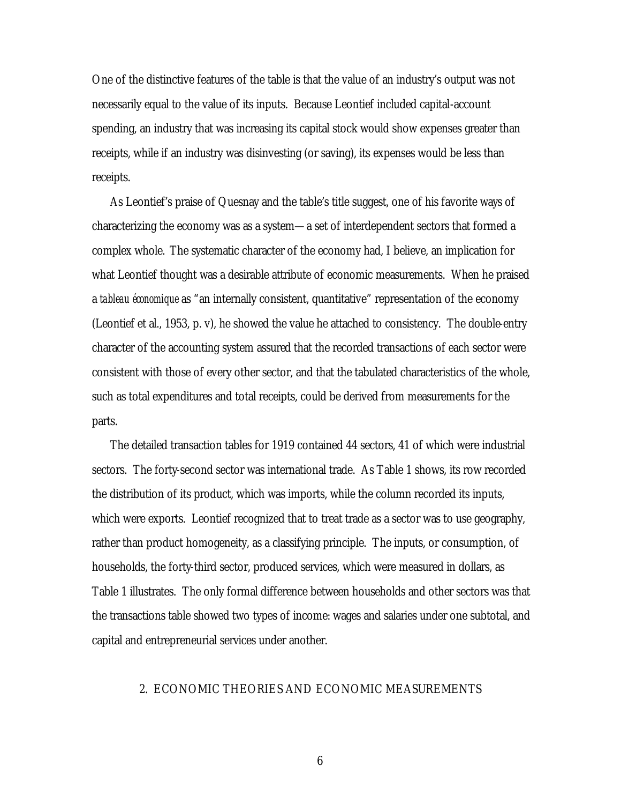One of the distinctive features of the table is that the value of an industry's output was not necessarily equal to the value of its inputs. Because Leontief included capital-account spending, an industry that was increasing its capital stock would show expenses greater than receipts, while if an industry was disinvesting (or saving), its expenses would be less than receipts.

As Leontief's praise of Quesnay and the table's title suggest, one of his favorite ways of characterizing the economy was as a system—a set of interdependent sectors that formed a complex whole. The systematic character of the economy had, I believe, an implication for what Leontief thought was a desirable attribute of economic measurements. When he praised a *tableau économique* as "an internally consistent, quantitative" representation of the economy (Leontief et al., 1953, p. v), he showed the value he attached to consistency. The double-entry character of the accounting system assured that the recorded transactions of each sector were consistent with those of every other sector, and that the tabulated characteristics of the whole, such as total expenditures and total receipts, could be derived from measurements for the parts.

The detailed transaction tables for 1919 contained 44 sectors, 41 of which were industrial sectors. The forty-second sector was international trade. As Table 1 shows, its row recorded the distribution of its product, which was imports, while the column recorded its inputs, which were exports. Leontief recognized that to treat trade as a sector was to use geography, rather than product homogeneity, as a classifying principle. The inputs, or consumption, of households, the forty-third sector, produced services, which were measured in dollars, as Table 1 illustrates. The only formal difference between households and other sectors was that the transactions table showed two types of income: wages and salaries under one subtotal, and capital and entrepreneurial services under another.

#### 2. ECONOMIC THEORIES AND ECONOMIC MEASUREMENTS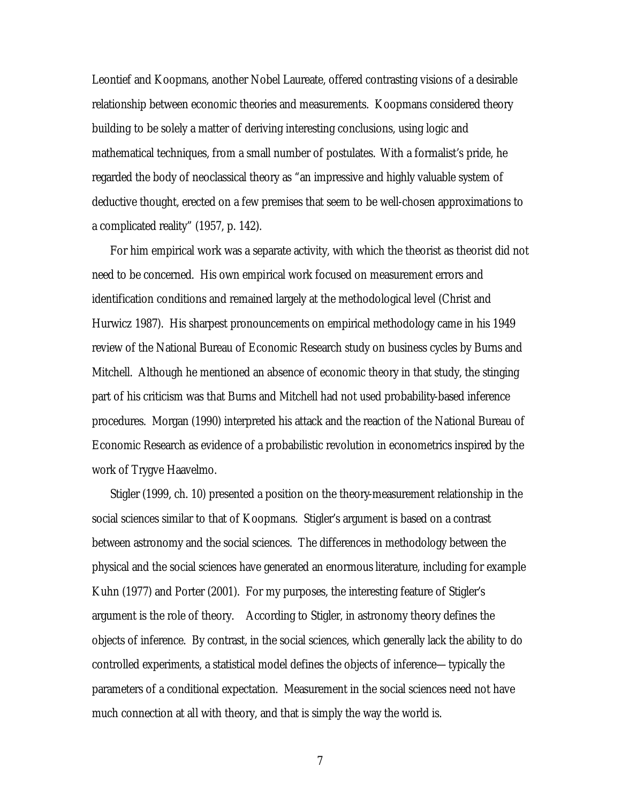Leontief and Koopmans, another Nobel Laureate, offered contrasting visions of a desirable relationship between economic theories and measurements. Koopmans considered theory building to be solely a matter of deriving interesting conclusions, using logic and mathematical techniques, from a small number of postulates. With a formalist's pride, he regarded the body of neoclassical theory as "an impressive and highly valuable system of deductive thought, erected on a few premises that seem to be well-chosen approximations to a complicated reality" (1957, p. 142).

For him empirical work was a separate activity, with which the theorist as theorist did not need to be concerned. His own empirical work focused on measurement errors and identification conditions and remained largely at the methodological level (Christ and Hurwicz 1987). His sharpest pronouncements on empirical methodology came in his 1949 review of the National Bureau of Economic Research study on business cycles by Burns and Mitchell. Although he mentioned an absence of economic theory in that study, the stinging part of his criticism was that Burns and Mitchell had not used probability-based inference procedures. Morgan (1990) interpreted his attack and the reaction of the National Bureau of Economic Research as evidence of a probabilistic revolution in econometrics inspired by the work of Trygve Haavelmo.

Stigler (1999, ch. 10) presented a position on the theory-measurement relationship in the social sciences similar to that of Koopmans. Stigler's argument is based on a contrast between astronomy and the social sciences. The differences in methodology between the physical and the social sciences have generated an enormous literature, including for example Kuhn (1977) and Porter (2001). For my purposes, the interesting feature of Stigler's argument is the role of theory. According to Stigler, in astronomy theory defines the objects of inference. By contrast, in the social sciences, which generally lack the ability to do controlled experiments, a statistical model defines the objects of inference—typically the parameters of a conditional expectation. Measurement in the social sciences need not have much connection at all with theory, and that is simply the way the world is.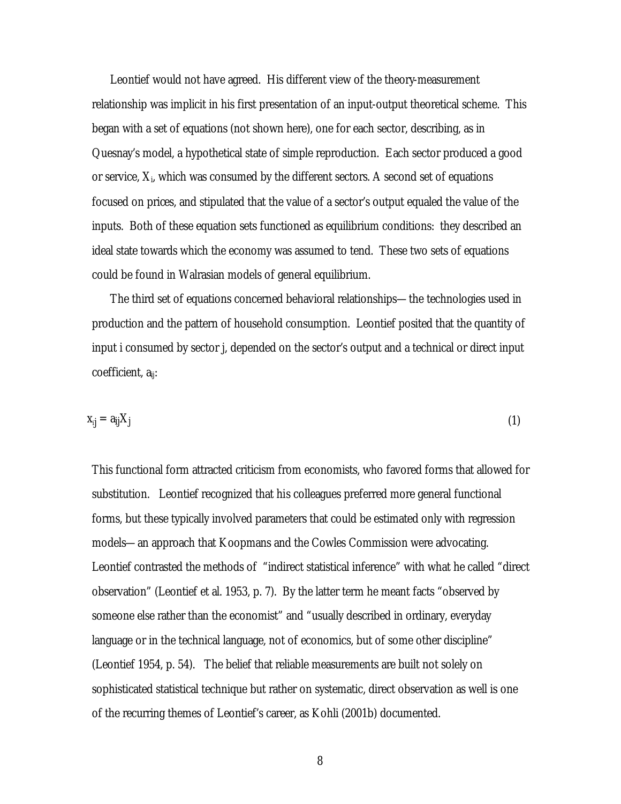Leontief would not have agreed. His different view of the theory-measurement relationship was implicit in his first presentation of an input-output theoretical scheme. This began with a set of equations (not shown here), one for each sector, describing, as in Quesnay's model, a hypothetical state of simple reproduction. Each sector produced a good or service,  $X_i$ , which was consumed by the different sectors. A second set of equations focused on prices, and stipulated that the value of a sector's output equaled the value of the inputs. Both of these equation sets functioned as equilibrium conditions: they described an ideal state towards which the economy was assumed to tend. These two sets of equations could be found in Walrasian models of general equilibrium.

The third set of equations concerned behavioral relationships—the technologies used in production and the pattern of household consumption. Leontief posited that the quantity of input i consumed by sector j, depended on the sector's output and a technical or direct input coefficient, a<sub>ii</sub>:

$$
x_{ij} = a_{ij}X_j \tag{1}
$$

This functional form attracted criticism from economists, who favored forms that allowed for substitution. Leontief recognized that his colleagues preferred more general functional forms, but these typically involved parameters that could be estimated only with regression models—an approach that Koopmans and the Cowles Commission were advocating. Leontief contrasted the methods of "indirect statistical inference" with what he called "direct observation" (Leontief et al. 1953, p. 7). By the latter term he meant facts "observed by someone else rather than the economist" and "usually described in ordinary, everyday language or in the technical language, not of economics, but of some other discipline" (Leontief 1954, p. 54). The belief that reliable measurements are built not solely on sophisticated statistical technique but rather on systematic, direct observation as well is one of the recurring themes of Leontief's career, as Kohli (2001b) documented.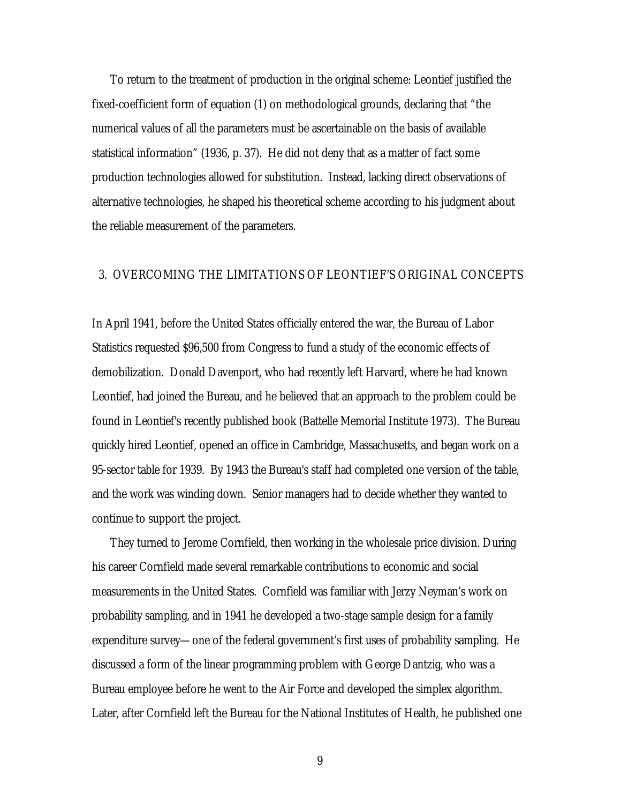To return to the treatment of production in the original scheme: Leontief justified the fixed-coefficient form of equation (1) on methodological grounds, declaring that "the numerical values of all the parameters must be ascertainable on the basis of available statistical information" (1936, p. 37). He did not deny that as a matter of fact some production technologies allowed for substitution. Instead, lacking direct observations of alternative technologies, he shaped his theoretical scheme according to his judgment about the reliable measurement of the parameters.

## 3. OVERCOMING THE LIMITATIONS OF LEONTIEF'S ORIGINAL CONCEPTS

In April 1941, before the United States officially entered the war, the Bureau of Labor Statistics requested \$96,500 from Congress to fund a study of the economic effects of demobilization. Donald Davenport, who had recently left Harvard, where he had known Leontief, had joined the Bureau, and he believed that an approach to the problem could be found in Leontief's recently published book (Battelle Memorial Institute 1973). The Bureau quickly hired Leontief, opened an office in Cambridge, Massachusetts, and began work on a 95-sector table for 1939. By 1943 the Bureau's staff had completed one version of the table, and the work was winding down. Senior managers had to decide whether they wanted to continue to support the project.

They turned to Jerome Cornfield, then working in the wholesale price division. During his career Cornfield made several remarkable contributions to economic and social measurements in the United States. Cornfield was familiar with Jerzy Neyman's work on probability sampling, and in 1941 he developed a two-stage sample design for a family expenditure survey—one of the federal government's first uses of probability sampling. He discussed a form of the linear programming problem with George Dantzig, who was a Bureau employee before he went to the Air Force and developed the simplex algorithm. Later, after Cornfield left the Bureau for the National Institutes of Health, he published one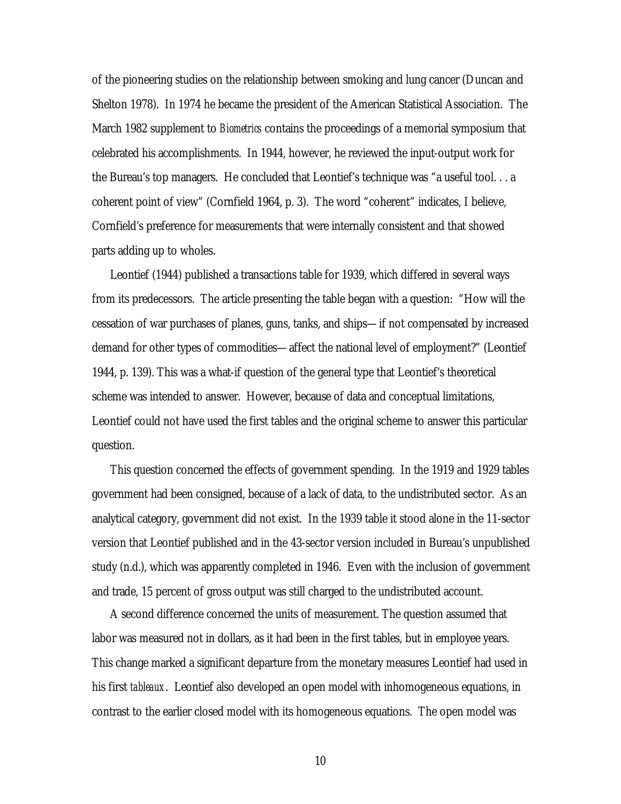of the pioneering studies on the relationship between smoking and lung cancer (Duncan and Shelton 1978). In 1974 he became the president of the American Statistical Association. The March 1982 supplement to *Biometrics* contains the proceedings of a memorial symposium that celebrated his accomplishments. In 1944, however, he reviewed the input-output work for the Bureau's top managers. He concluded that Leontief's technique was "a useful tool. . . a coherent point of view" (Cornfield 1964, p. 3). The word "coherent" indicates, I believe, Cornfield's preference for measurements that were internally consistent and that showed parts adding up to wholes.

Leontief (1944) published a transactions table for 1939, which differed in several ways from its predecessors. The article presenting the table began with a question: "How will the cessation of war purchases of planes, guns, tanks, and ships—if not compensated by increased demand for other types of commodities—affect the national level of employment?" (Leontief 1944, p. 139). This was a what-if question of the general type that Leontief's theoretical scheme was intended to answer. However, because of data and conceptual limitations, Leontief could not have used the first tables and the original scheme to answer this particular question.

This question concerned the effects of government spending. In the 1919 and 1929 tables government had been consigned, because of a lack of data, to the undistributed sector. As an analytical category, government did not exist. In the 1939 table it stood alone in the 11-sector version that Leontief published and in the 43-sector version included in Bureau's unpublished study (n.d.), which was apparently completed in 1946. Even with the inclusion of government and trade, 15 percent of gross output was still charged to the undistributed account.

A second difference concerned the units of measurement. The question assumed that labor was measured not in dollars, as it had been in the first tables, but in employee years. This change marked a significant departure from the monetary measures Leontief had used in his first *tableaux*. Leontief also developed an open model with inhomogeneous equations, in contrast to the earlier closed model with its homogeneous equations. The open model was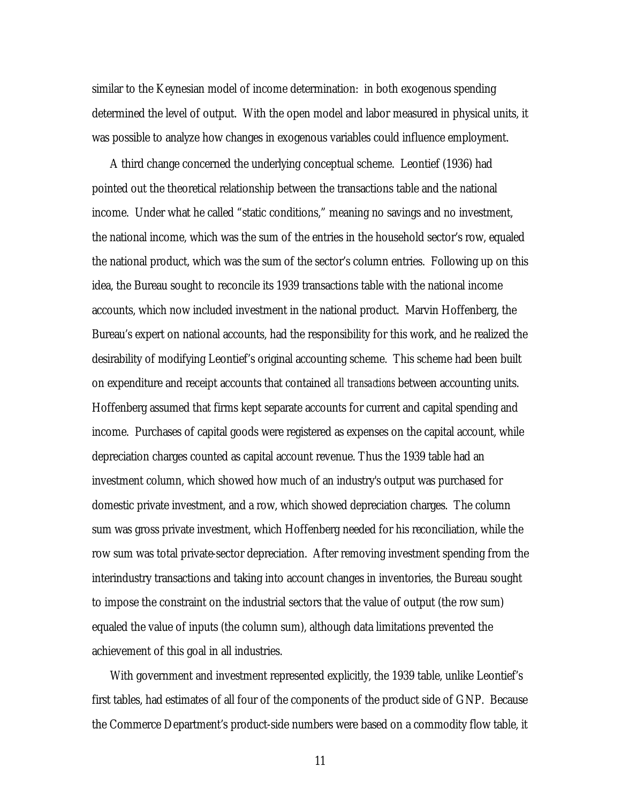similar to the Keynesian model of income determination: in both exogenous spending determined the level of output. With the open model and labor measured in physical units, it was possible to analyze how changes in exogenous variables could influence employment.

A third change concerned the underlying conceptual scheme. Leontief (1936) had pointed out the theoretical relationship between the transactions table and the national income. Under what he called "static conditions," meaning no savings and no investment, the national income, which was the sum of the entries in the household sector's row, equaled the national product, which was the sum of the sector's column entries. Following up on this idea, the Bureau sought to reconcile its 1939 transactions table with the national income accounts, which now included investment in the national product. Marvin Hoffenberg, the Bureau's expert on national accounts, had the responsibility for this work, and he realized the desirability of modifying Leontief's original accounting scheme. This scheme had been built on expenditure and receipt accounts that contained *all transactions* between accounting units. Hoffenberg assumed that firms kept separate accounts for current and capital spending and income. Purchases of capital goods were registered as expenses on the capital account, while depreciation charges counted as capital account revenue. Thus the 1939 table had an investment column, which showed how much of an industry's output was purchased for domestic private investment, and a row, which showed depreciation charges. The column sum was gross private investment, which Hoffenberg needed for his reconciliation, while the row sum was total private-sector depreciation. After removing investment spending from the interindustry transactions and taking into account changes in inventories, the Bureau sought to impose the constraint on the industrial sectors that the value of output (the row sum) equaled the value of inputs (the column sum), although data limitations prevented the achievement of this goal in all industries.

With government and investment represented explicitly, the 1939 table, unlike Leontief's first tables, had estimates of all four of the components of the product side of GNP. Because the Commerce Department's product-side numbers were based on a commodity flow table, it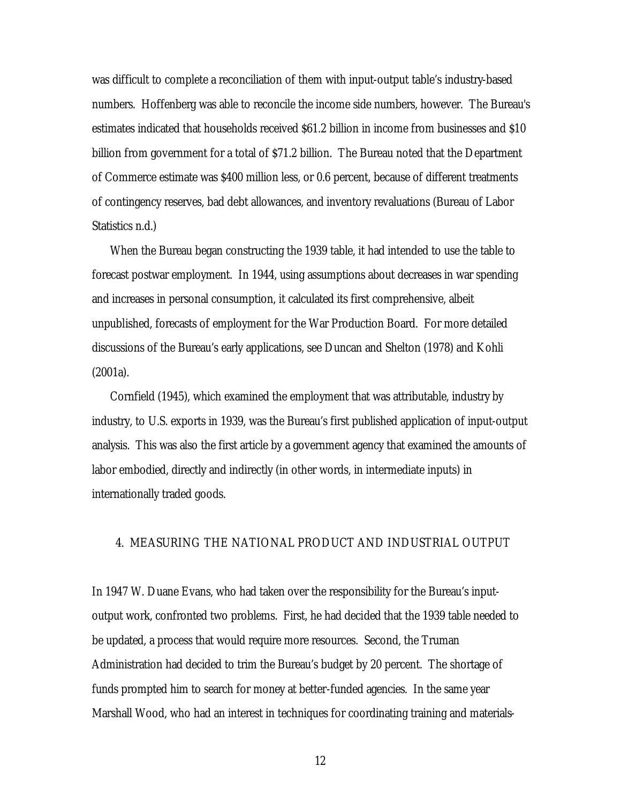was difficult to complete a reconciliation of them with input-output table's industry-based numbers. Hoffenberg was able to reconcile the income side numbers, however. The Bureau's estimates indicated that households received \$61.2 billion in income from businesses and \$10 billion from government for a total of \$71.2 billion. The Bureau noted that the Department of Commerce estimate was \$400 million less, or 0.6 percent, because of different treatments of contingency reserves, bad debt allowances, and inventory revaluations (Bureau of Labor Statistics n.d.)

When the Bureau began constructing the 1939 table, it had intended to use the table to forecast postwar employment. In 1944, using assumptions about decreases in war spending and increases in personal consumption, it calculated its first comprehensive, albeit unpublished, forecasts of employment for the War Production Board. For more detailed discussions of the Bureau's early applications, see Duncan and Shelton (1978) and Kohli (2001a).

Cornfield (1945), which examined the employment that was attributable, industry by industry, to U.S. exports in 1939, was the Bureau's first published application of input-output analysis. This was also the first article by a government agency that examined the amounts of labor embodied, directly and indirectly (in other words, in intermediate inputs) in internationally traded goods.

## 4. MEASURING THE NATIONAL PRODUCT AND INDUSTRIAL OUTPUT

In 1947 W. Duane Evans, who had taken over the responsibility for the Bureau's inputoutput work, confronted two problems. First, he had decided that the 1939 table needed to be updated, a process that would require more resources. Second, the Truman Administration had decided to trim the Bureau's budget by 20 percent. The shortage of funds prompted him to search for money at better-funded agencies. In the same year Marshall Wood, who had an interest in techniques for coordinating training and materials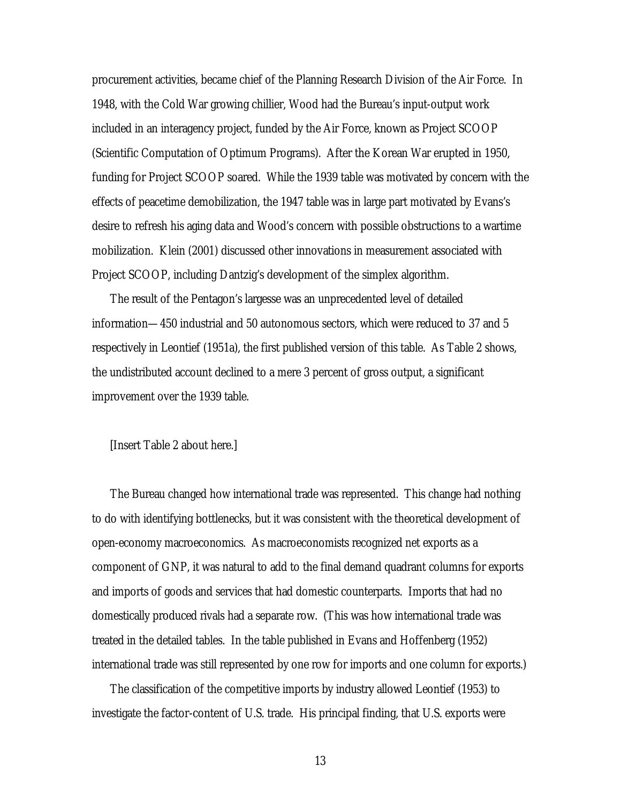procurement activities, became chief of the Planning Research Division of the Air Force. In 1948, with the Cold War growing chillier, Wood had the Bureau's input-output work included in an interagency project, funded by the Air Force, known as Project SCOOP (Scientific Computation of Optimum Programs). After the Korean War erupted in 1950, funding for Project SCOOP soared. While the 1939 table was motivated by concern with the effects of peacetime demobilization, the 1947 table was in large part motivated by Evans's desire to refresh his aging data and Wood's concern with possible obstructions to a wartime mobilization. Klein (2001) discussed other innovations in measurement associated with Project SCOOP, including Dantzig's development of the simplex algorithm.

The result of the Pentagon's largesse was an unprecedented level of detailed information—450 industrial and 50 autonomous sectors, which were reduced to 37 and 5 respectively in Leontief (1951a), the first published version of this table. As Table 2 shows, the undistributed account declined to a mere 3 percent of gross output, a significant improvement over the 1939 table.

#### [Insert Table 2 about here.]

The Bureau changed how international trade was represented. This change had nothing to do with identifying bottlenecks, but it was consistent with the theoretical development of open-economy macroeconomics. As macroeconomists recognized net exports as a component of GNP, it was natural to add to the final demand quadrant columns for exports and imports of goods and services that had domestic counterparts. Imports that had no domestically produced rivals had a separate row. (This was how international trade was treated in the detailed tables. In the table published in Evans and Hoffenberg (1952) international trade was still represented by one row for imports and one column for exports.)

The classification of the competitive imports by industry allowed Leontief (1953) to investigate the factor-content of U.S. trade. His principal finding, that U.S. exports were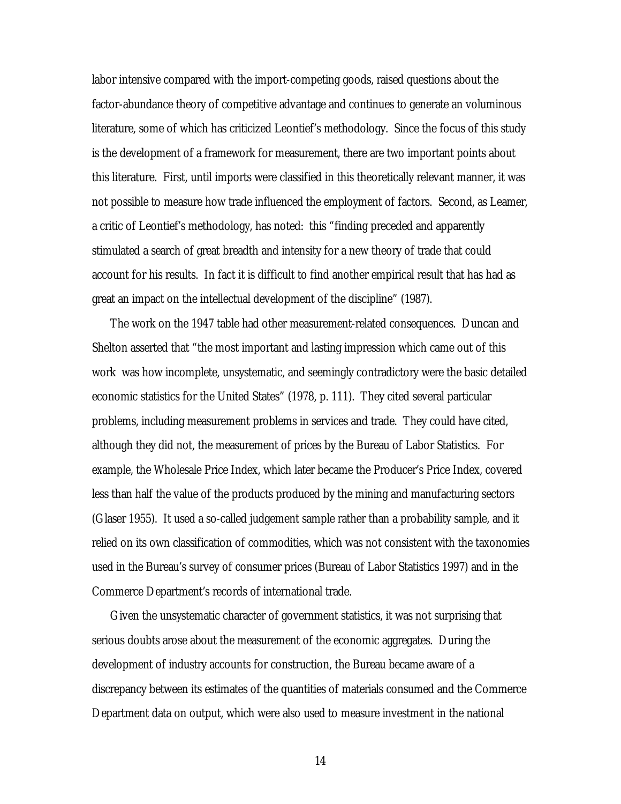labor intensive compared with the import-competing goods, raised questions about the factor-abundance theory of competitive advantage and continues to generate an voluminous literature, some of which has criticized Leontief's methodology. Since the focus of this study is the development of a framework for measurement, there are two important points about this literature. First, until imports were classified in this theoretically relevant manner, it was not possible to measure how trade influenced the employment of factors. Second, as Leamer, a critic of Leontief's methodology, has noted: this "finding preceded and apparently stimulated a search of great breadth and intensity for a new theory of trade that could account for his results. In fact it is difficult to find another empirical result that has had as great an impact on the intellectual development of the discipline" (1987).

The work on the 1947 table had other measurement-related consequences. Duncan and Shelton asserted that "the most important and lasting impression which came out of this work was how incomplete, unsystematic, and seemingly contradictory were the basic detailed economic statistics for the United States" (1978, p. 111). They cited several particular problems, including measurement problems in services and trade. They could have cited, although they did not, the measurement of prices by the Bureau of Labor Statistics. For example, the Wholesale Price Index, which later became the Producer's Price Index, covered less than half the value of the products produced by the mining and manufacturing sectors (Glaser 1955). It used a so-called judgement sample rather than a probability sample, and it relied on its own classification of commodities, which was not consistent with the taxonomies used in the Bureau's survey of consumer prices (Bureau of Labor Statistics 1997) and in the Commerce Department's records of international trade.

Given the unsystematic character of government statistics, it was not surprising that serious doubts arose about the measurement of the economic aggregates. During the development of industry accounts for construction, the Bureau became aware of a discrepancy between its estimates of the quantities of materials consumed and the Commerce Department data on output, which were also used to measure investment in the national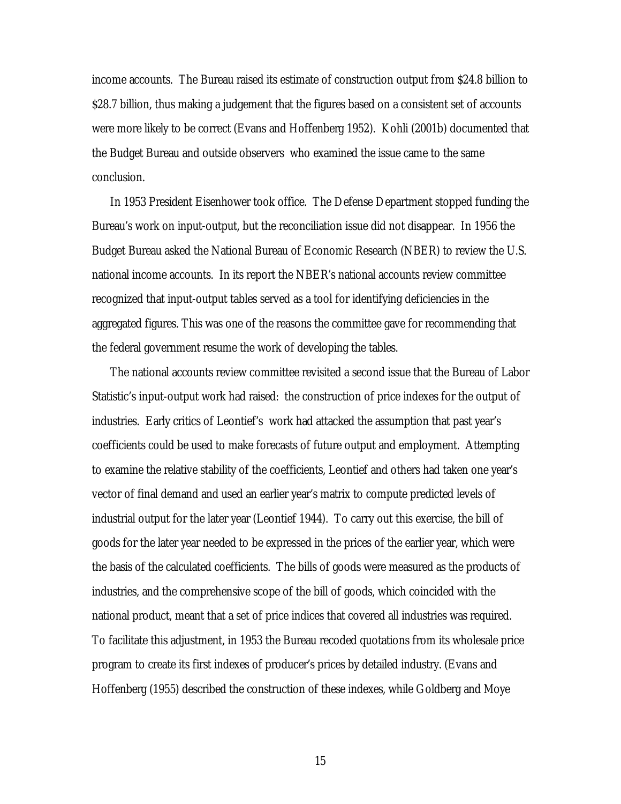income accounts. The Bureau raised its estimate of construction output from \$24.8 billion to \$28.7 billion, thus making a judgement that the figures based on a consistent set of accounts were more likely to be correct (Evans and Hoffenberg 1952). Kohli (2001b) documented that the Budget Bureau and outside observers who examined the issue came to the same conclusion.

In 1953 President Eisenhower took office. The Defense Department stopped funding the Bureau's work on input-output, but the reconciliation issue did not disappear. In 1956 the Budget Bureau asked the National Bureau of Economic Research (NBER) to review the U.S. national income accounts. In its report the NBER's national accounts review committee recognized that input-output tables served as a tool for identifying deficiencies in the aggregated figures. This was one of the reasons the committee gave for recommending that the federal government resume the work of developing the tables.

The national accounts review committee revisited a second issue that the Bureau of Labor Statistic's input-output work had raised: the construction of price indexes for the output of industries. Early critics of Leontief's work had attacked the assumption that past year's coefficients could be used to make forecasts of future output and employment. Attempting to examine the relative stability of the coefficients, Leontief and others had taken one year's vector of final demand and used an earlier year's matrix to compute predicted levels of industrial output for the later year (Leontief 1944). To carry out this exercise, the bill of goods for the later year needed to be expressed in the prices of the earlier year, which were the basis of the calculated coefficients. The bills of goods were measured as the products of industries, and the comprehensive scope of the bill of goods, which coincided with the national product, meant that a set of price indices that covered all industries was required. To facilitate this adjustment, in 1953 the Bureau recoded quotations from its wholesale price program to create its first indexes of producer's prices by detailed industry. (Evans and Hoffenberg (1955) described the construction of these indexes, while Goldberg and Moye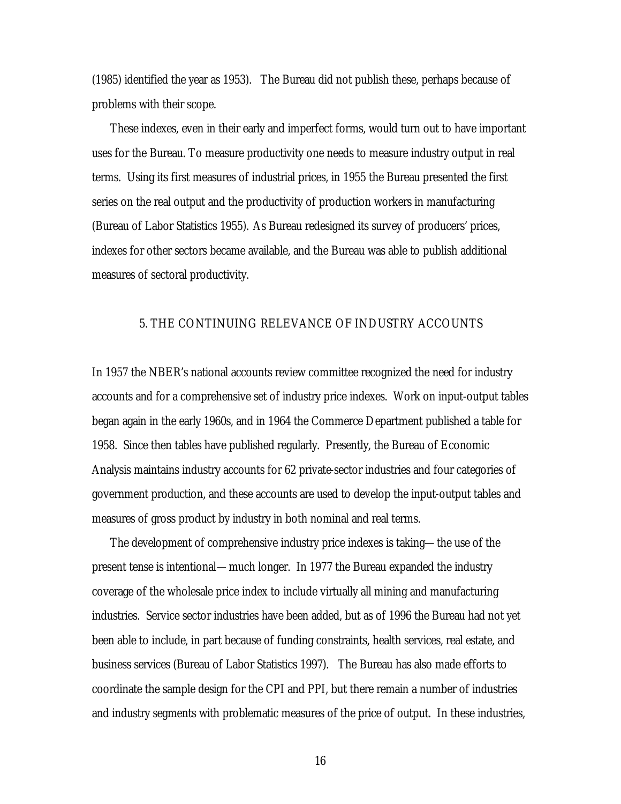(1985) identified the year as 1953). The Bureau did not publish these, perhaps because of problems with their scope.

These indexes, even in their early and imperfect forms, would turn out to have important uses for the Bureau. To measure productivity one needs to measure industry output in real terms. Using its first measures of industrial prices, in 1955 the Bureau presented the first series on the real output and the productivity of production workers in manufacturing (Bureau of Labor Statistics 1955). As Bureau redesigned its survey of producers' prices, indexes for other sectors became available, and the Bureau was able to publish additional measures of sectoral productivity.

## 5. THE CONTINUING RELEVANCE OF INDUSTRY ACCOUNTS

In 1957 the NBER's national accounts review committee recognized the need for industry accounts and for a comprehensive set of industry price indexes. Work on input-output tables began again in the early 1960s, and in 1964 the Commerce Department published a table for 1958. Since then tables have published regularly. Presently, the Bureau of Economic Analysis maintains industry accounts for 62 private-sector industries and four categories of government production, and these accounts are used to develop the input-output tables and measures of gross product by industry in both nominal and real terms.

The development of comprehensive industry price indexes is taking—the use of the present tense is intentional—much longer. In 1977 the Bureau expanded the industry coverage of the wholesale price index to include virtually all mining and manufacturing industries. Service sector industries have been added, but as of 1996 the Bureau had not yet been able to include, in part because of funding constraints, health services, real estate, and business services (Bureau of Labor Statistics 1997). The Bureau has also made efforts to coordinate the sample design for the CPI and PPI, but there remain a number of industries and industry segments with problematic measures of the price of output. In these industries,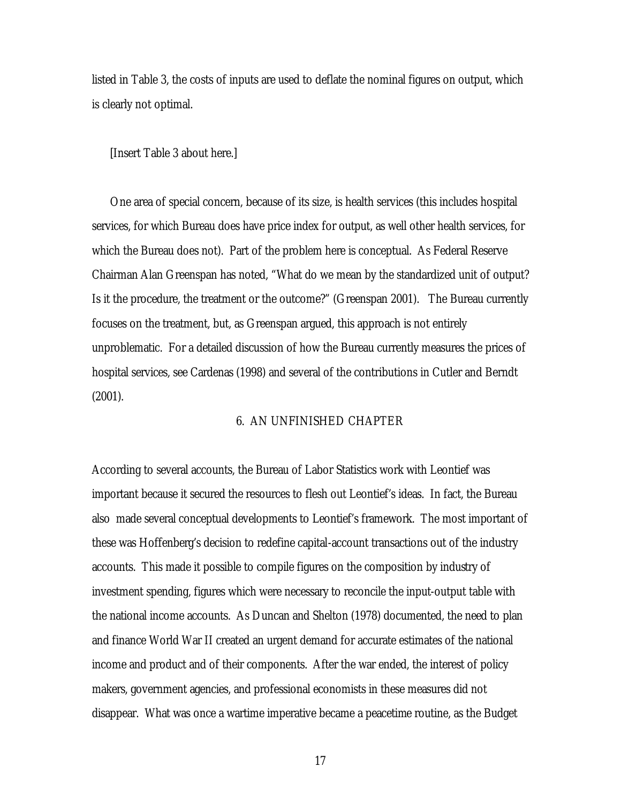listed in Table 3, the costs of inputs are used to deflate the nominal figures on output, which is clearly not optimal.

[Insert Table 3 about here.]

One area of special concern, because of its size, is health services (this includes hospital services, for which Bureau does have price index for output, as well other health services, for which the Bureau does not). Part of the problem here is conceptual. As Federal Reserve Chairman Alan Greenspan has noted, "What do we mean by the standardized unit of output? Is it the procedure, the treatment or the outcome?" (Greenspan 2001). The Bureau currently focuses on the treatment, but, as Greenspan argued, this approach is not entirely unproblematic. For a detailed discussion of how the Bureau currently measures the prices of hospital services, see Cardenas (1998) and several of the contributions in Cutler and Berndt (2001).

## 6. AN UNFINISHED CHAPTER

According to several accounts, the Bureau of Labor Statistics work with Leontief was important because it secured the resources to flesh out Leontief's ideas. In fact, the Bureau also made several conceptual developments to Leontief's framework. The most important of these was Hoffenberg's decision to redefine capital-account transactions out of the industry accounts. This made it possible to compile figures on the composition by industry of investment spending, figures which were necessary to reconcile the input-output table with the national income accounts. As Duncan and Shelton (1978) documented, the need to plan and finance World War II created an urgent demand for accurate estimates of the national income and product and of their components. After the war ended, the interest of policy makers, government agencies, and professional economists in these measures did not disappear. What was once a wartime imperative became a peacetime routine, as the Budget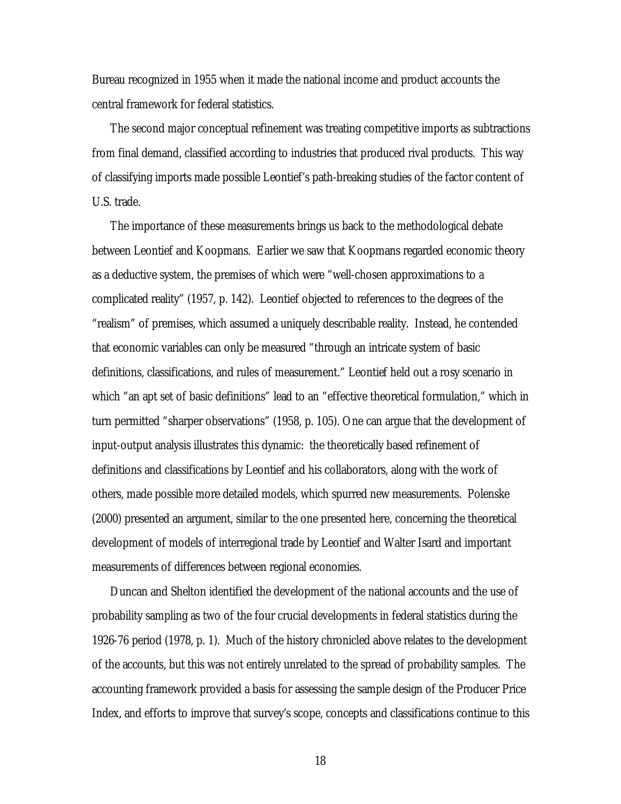Bureau recognized in 1955 when it made the national income and product accounts the central framework for federal statistics.

The second major conceptual refinement was treating competitive imports as subtractions from final demand, classified according to industries that produced rival products. This way of classifying imports made possible Leontief's path-breaking studies of the factor content of U.S. trade.

The importance of these measurements brings us back to the methodological debate between Leontief and Koopmans. Earlier we saw that Koopmans regarded economic theory as a deductive system, the premises of which were "well-chosen approximations to a complicated reality" (1957, p. 142). Leontief objected to references to the degrees of the "realism" of premises, which assumed a uniquely describable reality. Instead, he contended that economic variables can only be measured "through an intricate system of basic definitions, classifications, and rules of measurement." Leontief held out a rosy scenario in which "an apt set of basic definitions" lead to an "effective theoretical formulation," which in turn permitted "sharper observations" (1958, p. 105). One can argue that the development of input-output analysis illustrates this dynamic: the theoretically based refinement of definitions and classifications by Leontief and his collaborators, along with the work of others, made possible more detailed models, which spurred new measurements. Polenske (2000) presented an argument, similar to the one presented here, concerning the theoretical development of models of interregional trade by Leontief and Walter Isard and important measurements of differences between regional economies.

Duncan and Shelton identified the development of the national accounts and the use of probability sampling as two of the four crucial developments in federal statistics during the 1926-76 period (1978, p. 1). Much of the history chronicled above relates to the development of the accounts, but this was not entirely unrelated to the spread of probability samples. The accounting framework provided a basis for assessing the sample design of the Producer Price Index, and efforts to improve that survey's scope, concepts and classifications continue to this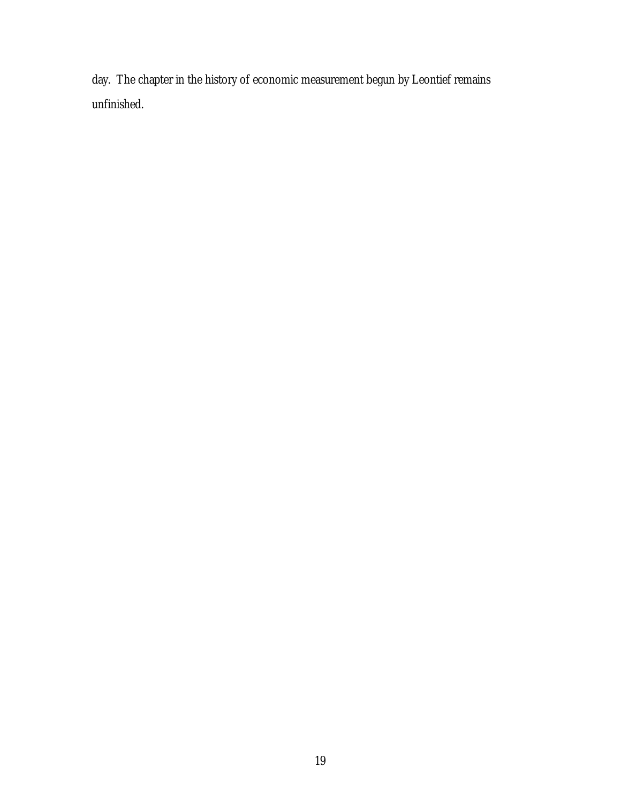day. The chapter in the history of economic measurement begun by Leontief remains unfinished.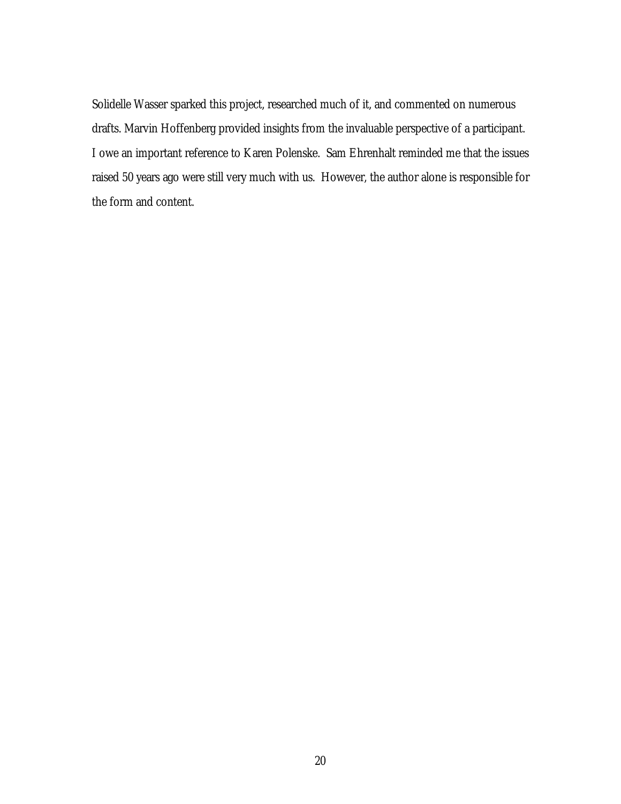Solidelle Wasser sparked this project, researched much of it, and commented on numerous drafts. Marvin Hoffenberg provided insights from the invaluable perspective of a participant. I owe an important reference to Karen Polenske. Sam Ehrenhalt reminded me that the issues raised 50 years ago were still very much with us. However, the author alone is responsible for the form and content.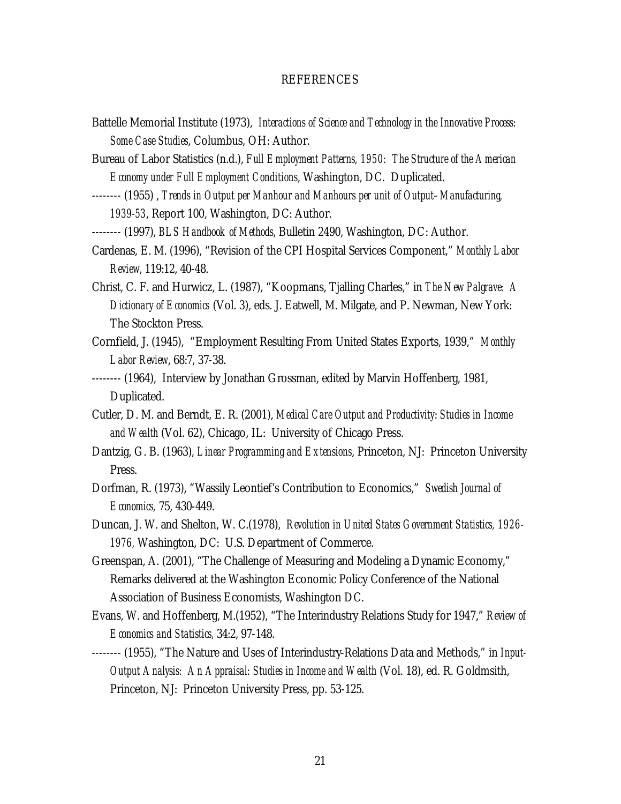## **REFERENCES**

- Battelle Memorial Institute (1973), *Interactions of Science and Technology in the Innovative Process: Some Case Studies*, Columbus, OH: Author.
- Bureau of Labor Statistics (n.d.), *Full Employment Patterns, 1950: The Structure of the American Economy under Full Employment Conditions*, Washington, DC. Duplicated.
- -------- (1955) , *Trends in Output per Manhour and Manhours per unit of Output–Manufacturing, 1939-53*, Report 100, Washington, DC: Author.
- -------- (1997), *BLS Handbook of Methods*, Bulletin 2490, Washington, DC: Author.
- Cardenas, E. M. (1996), "Revision of the CPI Hospital Services Component," *Monthly Labor Review,* 119:12, 40-48.
- Christ, C. F. and Hurwicz, L. (1987), "Koopmans, Tjalling Charles," in *The New Palgrave: A Dictionary of Economics* (Vol. 3), eds. J. Eatwell, M. Milgate, and P. Newman, New York: The Stockton Press.
- Cornfield, J. (1945), "Employment Resulting From United States Exports, 1939," *Monthly Labor Review*, 68:7, 37-38.
- -------- (1964), Interview by Jonathan Grossman, edited by Marvin Hoffenberg, 1981, Duplicated.
- Cutler, D. M. and Berndt, E. R. (2001), *Medical Care Output and Productivity*: *Studies in Income and Wealth* (Vol. 62), Chicago, IL: University of Chicago Press.
- Dantzig, G. B. (1963), *Linear Programming and Extensions*, Princeton, NJ: Princeton University Press.
- Dorfman, R. (1973), "Wassily Leontief's Contribution to Economics," *Swedish Journal of Economics,* 75, 430-449.
- Duncan, J. W. and Shelton, W. C.(1978), *Revolution in United States Government Statistics, 1926- 1976,* Washington, DC: U.S. Department of Commerce.
- Greenspan, A. (2001), "The Challenge of Measuring and Modeling a Dynamic Economy," Remarks delivered at the Washington Economic Policy Conference of the National Association of Business Economists, Washington DC.
- Evans, W. and Hoffenberg, M.(1952), "The Interindustry Relations Study for 1947," *Review of Economics and Statistics,* 34:2, 97-148.
- -------- (1955), "The Nature and Uses of Interindustry-Relations Data and Methods," in *Input-Output Analysis: An Appraisal: Studies in Income and Wealth* (Vol. 18), ed. R. Goldmsith, Princeton, NJ: Princeton University Press, pp. 53-125.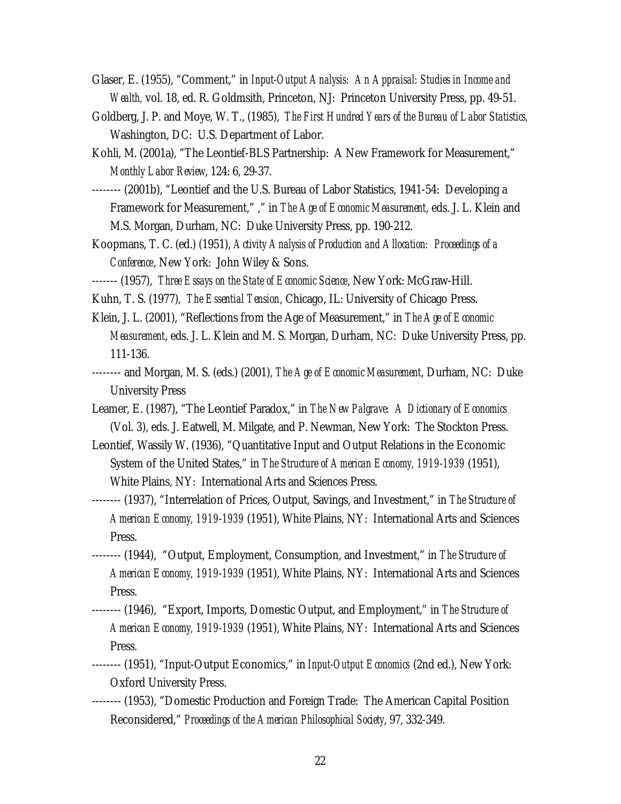- Glaser, E. (1955), "Comment," in *Input-Output Analysis: An Appraisal: Studies in Income and Wealth,* vol. 18, ed. R. Goldmsith, Princeton, NJ: Princeton University Press, pp. 49-51.
- Goldberg, J. P. and Moye, W. T., (1985), *The First Hundred Years of the Bureau of Labor Statistics,*  Washington, DC: U.S. Department of Labor.
- Kohli, M. (2001a), "The Leontief-BLS Partnership: A New Framework for Measurement," *Monthly Labor Review*, 124: 6, 29-37.
- -------- (2001b), "Leontief and the U.S. Bureau of Labor Statistics, 1941-54: Developing a Framework for Measurement," ," in *The Age of Economic Measurement*, eds. J. L. Klein and M.S. Morgan, Durham, NC: Duke University Press, pp. 190-212.
- Koopmans, T. C. (ed.) (1951), *Activity Analysis of Production and Allocation: Proceedings of a Conference*, New York: John Wiley & Sons.
- ------- (1957), *Three Essays on the State of Economic Science*, New York: McGraw-Hill.
- Kuhn, T. S. (1977), *The Essential Tension*, Chicago, IL: University of Chicago Press.
- Klein, J. L. (2001), "Reflections from the Age of Measurement," in *The Age of Economic Measurement*, eds. J. L. Klein and M. S. Morgan, Durham, NC: Duke University Press, pp. 111-136.
- -------- and Morgan, M. S. (eds.) (2001), *The Age of Economic Measurement*, Durham, NC: Duke University Press
- Leamer, E. (1987), "The Leontief Paradox," in *The New Palgrave: A Dictionary of Economics*  (Vol. 3), eds. J. Eatwell, M. Milgate, and P. Newman, New York: The Stockton Press.
- Leontief, Wassily W. (1936), "Quantitative Input and Output Relations in the Economic System of the United States," in *The Structure of American Economy, 1919-1939* (1951), White Plains, NY: International Arts and Sciences Press.
- -------- (1937), "Interrelation of Prices, Output, Savings, and Investment," in *The Structure of American Economy, 1919-1939* (1951), White Plains, NY: International Arts and Sciences Press.
- -------- (1944), "Output, Employment, Consumption, and Investment," in *The Structure of American Economy, 1919-1939* (1951), White Plains, NY: International Arts and Sciences Press.
- -------- (1946), "Export, Imports, Domestic Output, and Employment," in *The Structure of American Economy, 1919-1939* (1951), White Plains, NY: International Arts and Sciences Press.
- -------- (1951), "Input-Output Economics," in *Input-Output Economics* (2nd ed.), New York: Oxford University Press.
- -------- (1953), "Domestic Production and Foreign Trade: The American Capital Position Reconsidered," *Proceedings of the American Philosophical Society*, 97, 332-349.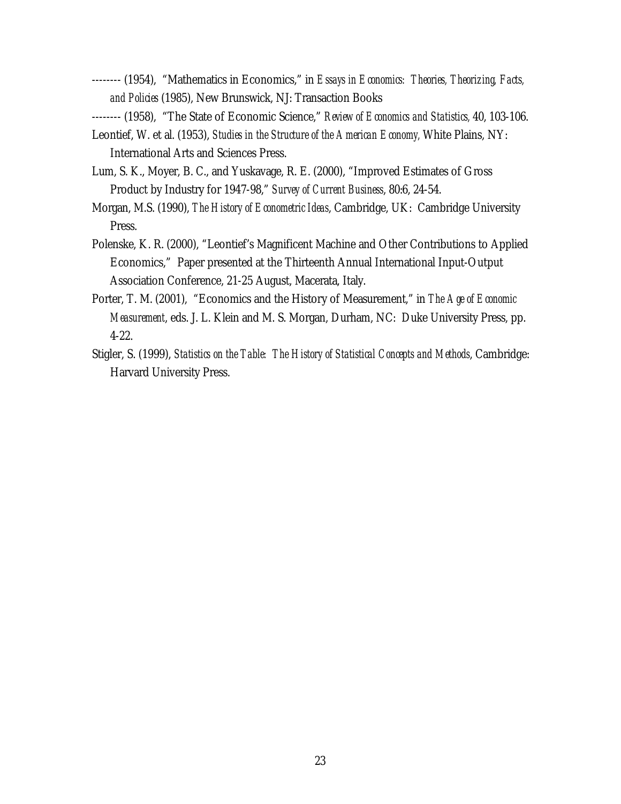-------- (1954), "Mathematics in Economics," in *Essays in Economics: Theories, Theorizing, Facts, and Policies* (1985), New Brunswick, NJ: Transaction Books

-------- (1958), "The State of Economic Science," *Review of Economics and Statistics,* 40, 103-106.

- Leontief, W. et al. (1953), *Studies in the Structure of the American Economy,* White Plains, NY: International Arts and Sciences Press.
- Lum, S. K., Moyer, B. C., and Yuskavage, R. E. (2000), "Improved Estimates of Gross Product by Industry for 1947-98," *Survey of Current Business*, 80:6, 24-54.
- Morgan, M.S. (1990), *The History of Econometric Ideas*, Cambridge, UK: Cambridge University Press.
- Polenske, K. R. (2000), "Leontief's Magnificent Machine and Other Contributions to Applied Economics," Paper presented at the Thirteenth Annual International Input-Output Association Conference, 21-25 August, Macerata, Italy.
- Porter, T. M. (2001), "Economics and the History of Measurement," in *The Age of Economic Measurement*, eds. J. L. Klein and M. S. Morgan, Durham, NC: Duke University Press, pp. 4-22.
- Stigler, S. (1999), *Statistics on the Table: The History of Statistical Concepts and Methods*, Cambridge: Harvard University Press.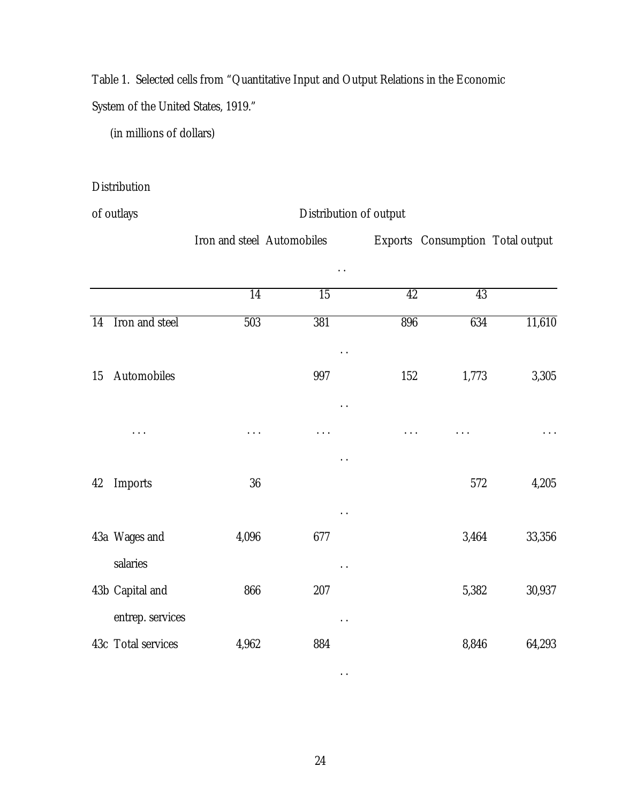Table 1. Selected cells from "Quantitative Input and Output Relations in the Economic

System of the United States, 1919."

(in millions of dollars)

## Distribution

of outlays Distribution of output

|    |                                        | Iron and steel Automobiles |                 |                 | Exports Consumption Total output |        |
|----|----------------------------------------|----------------------------|-----------------|-----------------|----------------------------------|--------|
|    |                                        |                            |                 |                 |                                  |        |
|    |                                        | $\overline{14}$            | $\overline{15}$ | $\overline{42}$ | 43                               |        |
| 14 | Iron and steel                         | 503                        | 381             | 896             | 634                              | 11,610 |
| 15 | Automobiles                            |                            | 997             | 152             | 1,773                            | 3,305  |
|    | .                                      |                            | .               |                 |                                  |        |
| 42 | Imports                                | 36                         |                 |                 | 572                              | 4,205  |
|    | 43a Wages and                          | 4,096                      | 677             |                 | 3,464                            | 33,356 |
|    | salaries<br>43b Capital and            | 866                        | 207             |                 | 5,382                            | 30,937 |
|    | entrep. services<br>43c Total services | 4,962                      | 884             |                 | 8,846                            | 64,293 |

. .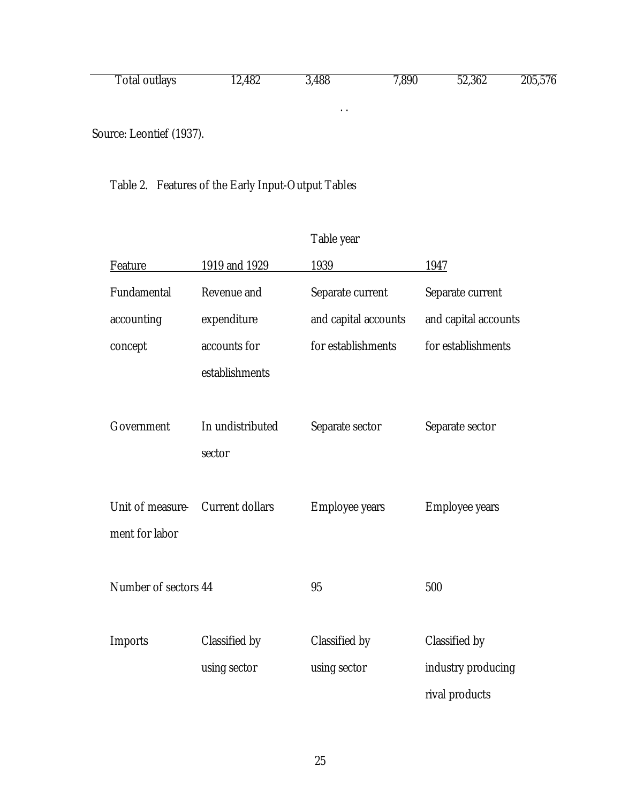| Total outlays | 12,482 | 3,488 | 7,890 | 52,362 | 205,576 |
|---------------|--------|-------|-------|--------|---------|
|               |        |       |       |        |         |

. .

Source: Leontief (1937).

Table 2. Features of the Early Input-Output Tables

|                      |                        | Table year            |                       |
|----------------------|------------------------|-----------------------|-----------------------|
| Feature              | 1919 and 1929          | 1939                  | 1947                  |
| Fundamental          | Revenue and            | Separate current      | Separate current      |
| accounting           | expenditure            | and capital accounts  | and capital accounts  |
| concept              | accounts for           | for establishments    | for establishments    |
|                      | establishments         |                       |                       |
|                      |                        |                       |                       |
| Government           | In undistributed       | Separate sector       | Separate sector       |
|                      | sector                 |                       |                       |
|                      |                        |                       |                       |
| Unit of measure-     | <b>Current dollars</b> | <b>Employee years</b> | <b>Employee years</b> |
| ment for labor       |                        |                       |                       |
|                      |                        |                       |                       |
| Number of sectors 44 |                        | 95                    | 500                   |
|                      |                        |                       |                       |
| <b>Imports</b>       | Classified by          | Classified by         | Classified by         |
|                      | using sector           | using sector          | industry producing    |
|                      |                        |                       | rival products        |